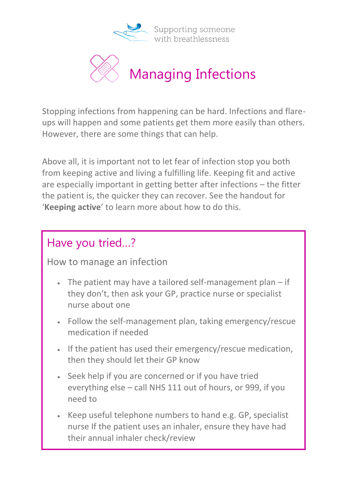

Supporting someone with breathlessness



Stopping infections from happening can be hard. Infections and flareups will happen and some patients get them more easily than others. However, there are some things that can help.

Above all, it is important not to let fear of infection stop you both from keeping active and living a fulfilling life. Keeping fit and active are especially important in getting better after infections – the fitter the patient is, the quicker they can recover. See the handout for '**Keeping active**' to learn more about how to do this.

## Have you tried…?

How to manage an infection

- The patient may have a tailored self-management plan if they don't, then ask your GP, practice nurse or specialist nurse about one
- Follow the self-management plan, taking emergency/rescue medication if needed
- If the patient has used their emergency/rescue medication, then they should let their GP know
- Seek help if you are concerned or if you have tried everything else – call NHS 111 out of hours, or 999, if you need to
- Keep useful telephone numbers to hand e.g. GP, specialist nurse If the patient uses an inhaler, ensure they have had their annual inhaler check/review